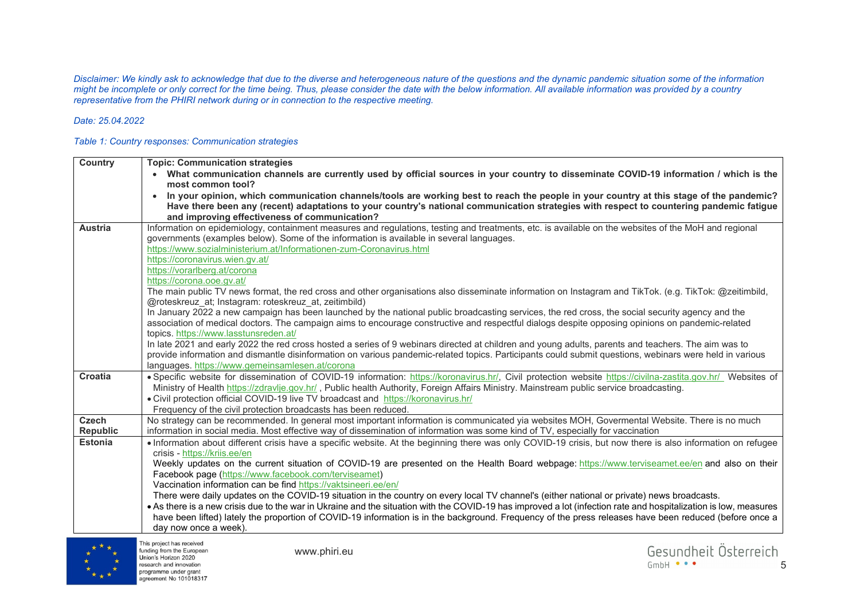*Disclaimer: We kindly ask to acknowledge that due to the diverse and heterogeneous nature of the questions and the dynamic pandemic situation some of the information might be incomplete or only correct for the time being. Thus, please consider the date with the below information. All available information was provided by a country representative from the PHIRI network during or in connection to the respective meeting.* 

## *Date: 25.04.2022*

## *Table 1: Country responses: Communication strategies*

| Country                         | <b>Topic: Communication strategies</b>                                                                                                                                                                                                                                                                         |
|---------------------------------|----------------------------------------------------------------------------------------------------------------------------------------------------------------------------------------------------------------------------------------------------------------------------------------------------------------|
|                                 | • What communication channels are currently used by official sources in your country to disseminate COVID-19 information / which is the<br>most common tool?                                                                                                                                                   |
|                                 | In your opinion, which communication channels/tools are working best to reach the people in your country at this stage of the pandemic?                                                                                                                                                                        |
|                                 | Have there been any (recent) adaptations to your country's national communication strategies with respect to countering pandemic fatigue                                                                                                                                                                       |
| <b>Austria</b>                  | and improving effectiveness of communication?<br>Information on epidemiology, containment measures and regulations, testing and treatments, etc. is available on the websites of the MoH and regional                                                                                                          |
|                                 | governments (examples below). Some of the information is available in several languages.                                                                                                                                                                                                                       |
|                                 | https://www.sozialministerium.at/Informationen-zum-Coronavirus.html                                                                                                                                                                                                                                            |
|                                 | https://coronavirus.wien.gv.at/                                                                                                                                                                                                                                                                                |
|                                 | https://vorarlberg.at/corona                                                                                                                                                                                                                                                                                   |
|                                 | https://corona.ooe.gv.at/                                                                                                                                                                                                                                                                                      |
|                                 | The main public TV news format, the red cross and other organisations also disseminate information on Instagram and TikTok. (e.g. TikTok: @zeitimbild,<br>@roteskreuz at; Instagram: roteskreuz at, zeitimbild)                                                                                                |
|                                 | In January 2022 a new campaign has been launched by the national public broadcasting services, the red cross, the social security agency and the                                                                                                                                                               |
|                                 | association of medical doctors. The campaign aims to encourage constructive and respectful dialogs despite opposing opinions on pandemic-related                                                                                                                                                               |
|                                 | topics. https://www.lasstunsreden.at/                                                                                                                                                                                                                                                                          |
|                                 | In late 2021 and early 2022 the red cross hosted a series of 9 webinars directed at children and young adults, parents and teachers. The aim was to<br>provide information and dismantle disinformation on various pandemic-related topics. Participants could submit questions, webinars were held in various |
|                                 | languages. https://www.gemeinsamlesen.at/corona                                                                                                                                                                                                                                                                |
| Croatia                         | · Specific website for dissemination of COVID-19 information: https://koronavirus.hr/, Civil protection website https://civilna-zastita.gov.hr/ Websites of                                                                                                                                                    |
|                                 | Ministry of Health https://zdravlje.gov.hr/, Public health Authority, Foreign Affairs Ministry. Mainstream public service broadcasting.                                                                                                                                                                        |
|                                 | • Civil protection official COVID-19 live TV broadcast and https://koronavirus.hr/                                                                                                                                                                                                                             |
|                                 | Frequency of the civil protection broadcasts has been reduced.                                                                                                                                                                                                                                                 |
| <b>Czech</b><br><b>Republic</b> | No strategy can be recommended. In general most important information is communicated yia websites MOH, Govermental Website. There is no much<br>information in social media. Most effective way of dissemination of information was some kind of TV, especially for vaccination                               |
| <b>Estonia</b>                  | • Information about different crisis have a specific website. At the beginning there was only COVID-19 crisis, but now there is also information on refugee                                                                                                                                                    |
|                                 | crisis - https://krijs.ee/en                                                                                                                                                                                                                                                                                   |
|                                 | Weekly updates on the current situation of COVID-19 are presented on the Health Board webpage: https://www.terviseamet.ee/en and also on their                                                                                                                                                                 |
|                                 | Facebook page (https://www.facebook.com/terviseamet)                                                                                                                                                                                                                                                           |
|                                 | Vaccination information can be find https://vaktsineeri.ee/en/                                                                                                                                                                                                                                                 |
|                                 | There were daily updates on the COVID-19 situation in the country on every local TV channel's (either national or private) news broadcasts.                                                                                                                                                                    |
|                                 | • As there is a new crisis due to the war in Ukraine and the situation with the COVID-19 has improved a lot (infection rate and hospitalization is low, measures                                                                                                                                               |
|                                 | have been lifted) lately the proportion of COVID-19 information is in the background. Frequency of the press releases have been reduced (before once a                                                                                                                                                         |
|                                 | day now once a week).                                                                                                                                                                                                                                                                                          |

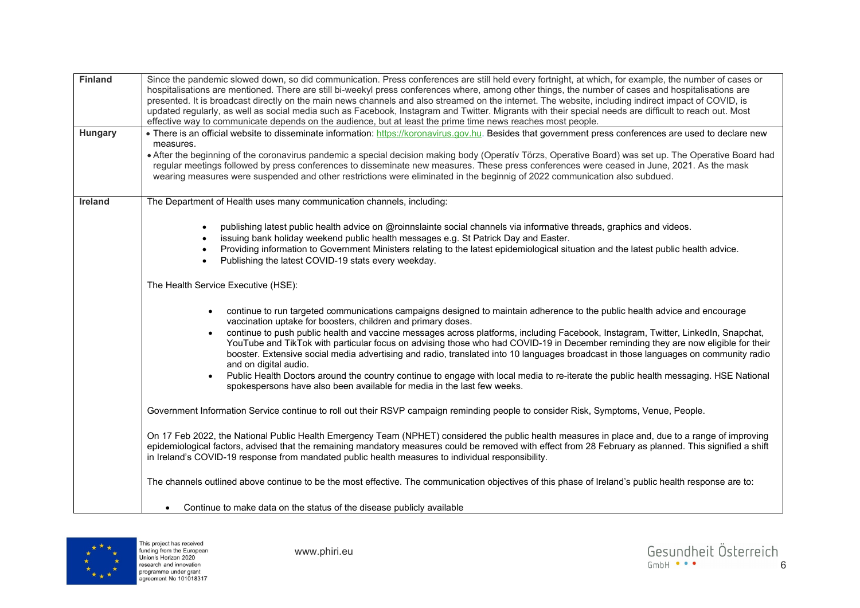| <b>Finland</b> | Since the pandemic slowed down, so did communication. Press conferences are still held every fortnight, at which, for example, the number of cases or<br>hospitalisations are mentioned. There are still bi-weekyl press conferences where, among other things, the number of cases and hospitalisations are<br>presented. It is broadcast directly on the main news channels and also streamed on the internet. The website, including indirect impact of COVID, is<br>updated regularly, as well as social media such as Facebook, Instagram and Twitter. Migrants with their special needs are difficult to reach out. Most<br>effective way to communicate depends on the audience, but at least the prime time news reaches most people.                                                                                                                                                                                         |
|----------------|---------------------------------------------------------------------------------------------------------------------------------------------------------------------------------------------------------------------------------------------------------------------------------------------------------------------------------------------------------------------------------------------------------------------------------------------------------------------------------------------------------------------------------------------------------------------------------------------------------------------------------------------------------------------------------------------------------------------------------------------------------------------------------------------------------------------------------------------------------------------------------------------------------------------------------------|
| Hungary        | • There is an official website to disseminate information: https://koronavirus.gov.hu. Besides that government press conferences are used to declare new<br>measures.<br>. After the beginning of the coronavirus pandemic a special decision making body (Operatív Törzs, Operative Board) was set up. The Operative Board had<br>regular meetings followed by press conferences to disseminate new measures. These press conferences were ceased in June, 2021. As the mask<br>wearing measures were suspended and other restrictions were eliminated in the beginnig of 2022 communication also subdued.                                                                                                                                                                                                                                                                                                                           |
| Ireland        | The Department of Health uses many communication channels, including:<br>publishing latest public health advice on @roinnslainte social channels via informative threads, graphics and videos.<br>issuing bank holiday weekend public health messages e.g. St Patrick Day and Easter.<br>Providing information to Government Ministers relating to the latest epidemiological situation and the latest public health advice.<br>Publishing the latest COVID-19 stats every weekday.                                                                                                                                                                                                                                                                                                                                                                                                                                                   |
|                | The Health Service Executive (HSE):<br>continue to run targeted communications campaigns designed to maintain adherence to the public health advice and encourage<br>$\bullet$<br>vaccination uptake for boosters, children and primary doses.<br>continue to push public health and vaccine messages across platforms, including Facebook, Instagram, Twitter, LinkedIn, Snapchat,<br>$\bullet$<br>YouTube and TikTok with particular focus on advising those who had COVID-19 in December reminding they are now eligible for their<br>booster. Extensive social media advertising and radio, translated into 10 languages broadcast in those languages on community radio<br>and on digital audio.<br>Public Health Doctors around the country continue to engage with local media to re-iterate the public health messaging. HSE National<br>$\bullet$<br>spokespersons have also been available for media in the last few weeks. |
|                | Government Information Service continue to roll out their RSVP campaign reminding people to consider Risk, Symptoms, Venue, People.<br>On 17 Feb 2022, the National Public Health Emergency Team (NPHET) considered the public health measures in place and, due to a range of improving<br>epidemiological factors, advised that the remaining mandatory measures could be removed with effect from 28 February as planned. This signified a shift<br>in Ireland's COVID-19 response from mandated public health measures to individual responsibility.                                                                                                                                                                                                                                                                                                                                                                              |
|                | The channels outlined above continue to be the most effective. The communication objectives of this phase of Ireland's public health response are to:<br>Continue to make data on the status of the disease publicly available                                                                                                                                                                                                                                                                                                                                                                                                                                                                                                                                                                                                                                                                                                        |



www.phiri.eu

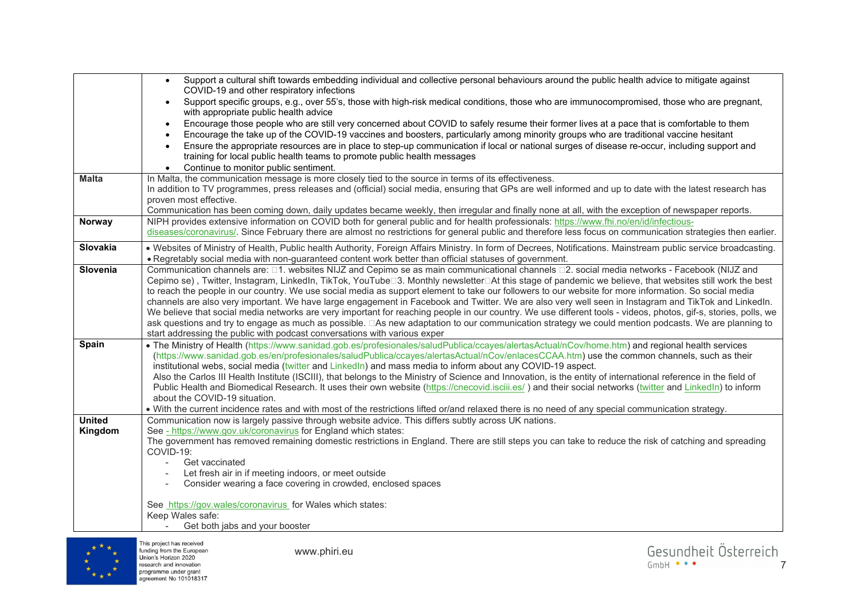|               | Support a cultural shift towards embedding individual and collective personal behaviours around the public health advice to mitigate against<br>$\bullet$<br>COVID-19 and other respiratory infections                                                                                                                       |
|---------------|------------------------------------------------------------------------------------------------------------------------------------------------------------------------------------------------------------------------------------------------------------------------------------------------------------------------------|
|               | Support specific groups, e.g., over 55's, those with high-risk medical conditions, those who are immunocompromised, those who are pregnant,<br>$\bullet$<br>with appropriate public health advice                                                                                                                            |
|               | Encourage those people who are still very concerned about COVID to safely resume their former lives at a pace that is comfortable to them                                                                                                                                                                                    |
|               | Encourage the take up of the COVID-19 vaccines and boosters, particularly among minority groups who are traditional vaccine hesitant                                                                                                                                                                                         |
|               | Ensure the appropriate resources are in place to step-up communication if local or national surges of disease re-occur, including support and<br>training for local public health teams to promote public health messages                                                                                                    |
|               | Continue to monitor public sentiment.                                                                                                                                                                                                                                                                                        |
| <b>Malta</b>  | In Malta, the communication message is more closely tied to the source in terms of its effectiveness.                                                                                                                                                                                                                        |
|               | In addition to TV programmes, press releases and (official) social media, ensuring that GPs are well informed and up to date with the latest research has                                                                                                                                                                    |
|               | proven most effective.                                                                                                                                                                                                                                                                                                       |
|               | Communication has been coming down, daily updates became weekly, then irregular and finally none at all, with the exception of newspaper reports.                                                                                                                                                                            |
| Norway        | NIPH provides extensive information on COVID both for general public and for health professionals: https://www.fhi.no/en/id/infectious-                                                                                                                                                                                      |
|               | diseases/coronavirus/. Since February there are almost no restrictions for general public and therefore less focus on communication strategies then earlier.                                                                                                                                                                 |
| Slovakia      | . Websites of Ministry of Health, Public health Authority, Foreign Affairs Ministry. In form of Decrees, Notifications. Mainstream public service broadcasting.                                                                                                                                                              |
|               | . Regretably social media with non-guaranteed content work better than official statuses of government.                                                                                                                                                                                                                      |
| Slovenia      | Communication channels are: □1. websites NIJZ and Cepimo se as main communicational channels □2. social media networks - Facebook (NIJZ and<br>Cepimo se), Twitter, Instagram, LinkedIn, TikTok, YouTube□3. Monthly newsletter□At this stage of pandemic we believe, that websites still work the best                       |
|               | to reach the people in our country. We use social media as support element to take our followers to our website for more information. So social media                                                                                                                                                                        |
|               | channels are also very important. We have large engagement in Facebook and Twitter. We are also very well seen in Instagram and TikTok and LinkedIn.                                                                                                                                                                         |
|               | We believe that social media networks are very important for reaching people in our country. We use different tools - videos, photos, gif-s, stories, polls, we                                                                                                                                                              |
|               | ask questions and try to engage as much as possible. □As new adaptation to our communication strategy we could mention podcasts. We are planning to                                                                                                                                                                          |
|               | start addressing the public with podcast conversations with various exper                                                                                                                                                                                                                                                    |
| Spain         | . The Ministry of Health (https://www.sanidad.gob.es/profesionales/saludPublica/ccayes/alertasActual/nCov/home.htm) and regional health services                                                                                                                                                                             |
|               | (https://www.sanidad.gob.es/en/profesionales/saludPublica/ccayes/alertasActual/nCov/enlacesCCAA.htm) use the common channels, such as their                                                                                                                                                                                  |
|               | institutional webs, social media (twitter and LinkedIn) and mass media to inform about any COVID-19 aspect.                                                                                                                                                                                                                  |
|               | Also the Carlos III Health Institute (ISCIII), that belongs to the Ministry of Science and Innovation, is the entity of international reference in the field of<br>Public Health and Biomedical Research. It uses their own website (https://cnecovid.isciii.es/) and their social networks (twitter and LinkedIn) to inform |
|               | about the COVID-19 situation.                                                                                                                                                                                                                                                                                                |
|               | . With the current incidence rates and with most of the restrictions lifted or/and relaxed there is no need of any special communication strategy.                                                                                                                                                                           |
| <b>United</b> | Communication now is largely passive through website advice. This differs subtly across UK nations.                                                                                                                                                                                                                          |
| Kingdom       | See - https://www.gov.uk/coronavirus for England which states:                                                                                                                                                                                                                                                               |
|               | The government has removed remaining domestic restrictions in England. There are still steps you can take to reduce the risk of catching and spreading                                                                                                                                                                       |
|               | COVID-19:                                                                                                                                                                                                                                                                                                                    |
|               | Get vaccinated<br>Let fresh air in if meeting indoors, or meet outside                                                                                                                                                                                                                                                       |
|               | Consider wearing a face covering in crowded, enclosed spaces                                                                                                                                                                                                                                                                 |
|               |                                                                                                                                                                                                                                                                                                                              |
|               | See https://gov.wales/coronavirus for Wales which states:                                                                                                                                                                                                                                                                    |
|               | Keep Wales safe:                                                                                                                                                                                                                                                                                                             |
|               | Get both jabs and your booster                                                                                                                                                                                                                                                                                               |
|               | This project has received                                                                                                                                                                                                                                                                                                    |



www.phiri.eu